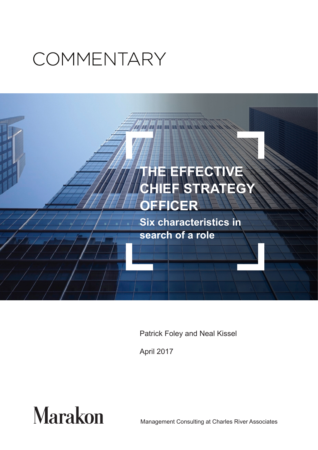# COMMENTARY



Patrick Foley and Neal Kissel

April 2017



Management Consulting at Charles River Associates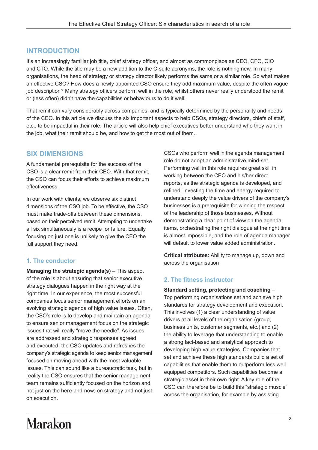# **INTRODUCTION**

It's an increasingly familiar job title, chief strategy officer, and almost as commonplace as CEO, CFO, CIO and CTO. While the title may be a new addition to the C-suite acronyms, the role is nothing new. In many organisations, the head of strategy or strategy director likely performs the same or a similar role. So what makes an effective CSO? How does a newly appointed CSO ensure they add maximum value, despite the often vague job description? Many strategy officers perform well in the role, whilst others never really understood the remit or (less often) didn't have the capabilities or behaviours to do it well.

That remit can vary considerably across companies, and is typically determined by the personality and needs of the CEO. In this article we discuss the six important aspects to help CSOs, strategy directors, chiefs of staff, etc., to be impactful in their role. The article will also help chief executives better understand who they want in the job, what their remit should be, and how to get the most out of them.

# **SIX DIMENSIONS**

A fundamental prerequisite for the success of the CSO is a clear remit from their CEO. With that remit, the CSO can focus their efforts to achieve maximum effectiveness.

In our work with clients, we observe six distinct dimensions of the CSO job. To be effective, the CSO must make trade-offs between these dimensions, based on their perceived remit. Attempting to undertake all six simultaneously is a recipe for failure. Equally, focusing on just one is unlikely to give the CEO the full support they need.

#### **1. The conductor**

**Managing the strategic agenda(s)** – This aspect of the role is about ensuring that senior executive strategy dialogues happen in the right way at the right time. In our experience, the most successful companies focus senior management efforts on an evolving strategic agenda of high value issues. Often, the CSO's role is to develop and maintain an agenda to ensure senior management focus on the strategic issues that will really "move the needle". As issues are addressed and strategic responses agreed and executed, the CSO updates and refreshes the company's strategic agenda to keep senior management focused on moving ahead with the most valuable issues. This can sound like a bureaucratic task, but in reality the CSO ensures that the senior management team remains sufficiently focused on the horizon and not just on the here-and-now; on strategy and not just on execution.

CSOs who perform well in the agenda management role do not adopt an administrative mind-set. Performing well in this role requires great skill in working between the CEO and his/her direct reports, as the strategic agenda is developed, and refined. Investing the time and energy required to understand deeply the value drivers of the company's businesses is a prerequisite for winning the respect of the leadership of those businesses. Without demonstrating a clear point of view on the agenda items, orchestrating the right dialogue at the right time is almost impossible, and the role of agenda manager will default to lower value added administration.

**Critical attributes:** Ability to manage up, down and across the organisation

#### **2. The fitness instructor**

**Standard setting, protecting and coaching** – Top performing organisations set and achieve high standards for strategy development and execution. This involves (1) a clear understanding of value drivers at all levels of the organisation (group, business units, customer segments, etc.) and (2) the ability to leverage that understanding to enable a strong fact-based and analytical approach to developing high value strategies. Companies that set and achieve these high standards build a set of capabilities that enable them to outperform less well equipped competitors. Such capabilities become a strategic asset in their own right. A key role of the CSO can therefore be to build this "strategic muscle" across the organisation, for example by assisting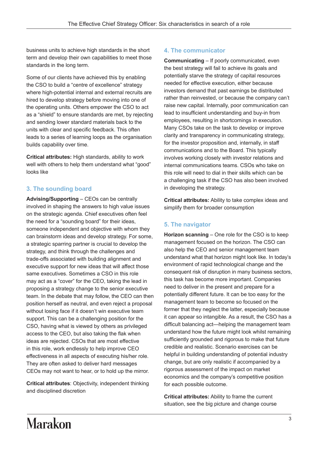business units to achieve high standards in the short term and develop their own capabilities to meet those standards in the long term.

Some of our clients have achieved this by enabling the CSO to build a "centre of excellence" strategy where high-potential internal and external recruits are hired to develop strategy before moving into one of the operating units. Others empower the CSO to act as a "shield" to ensure standards are met, by rejecting and sending lower standard materials back to the units with clear and specific feedback. This often leads to a series of learning loops as the organisation builds capability over time.

**Critical attributes:** High standards, ability to work well with others to help them understand what "good" looks like

## **3. The sounding board**

**Advising/Supporting** – CEOs can be centrally involved in shaping the answers to high value issues on the strategic agenda. Chief executives often feel the need for a "sounding board" for their ideas, someone independent and objective with whom they can brainstorm ideas and develop strategy. For some, a strategic sparring partner is crucial to develop the strategy, and think through the challenges and trade-offs associated with building alignment and executive support for new ideas that will affect those same executives. Sometimes a CSO in this role may act as a "cover" for the CEO, taking the lead in proposing a strategy change to the senior executive team. In the debate that may follow, the CEO can then position herself as neutral, and even reject a proposal without losing face if it doesn't win executive team support. This can be a challenging position for the CSO, having what is viewed by others as privileged access to the CEO, but also taking the flak when ideas are rejected. CSOs that are most effective in this role, work endlessly to help improve CEO effectiveness in all aspects of executing his/her role. They are often asked to deliver hard messages CEOs may not want to hear, or to hold up the mirror.

**Critical attributes**: Objectivity, independent thinking and disciplined discretion

#### **4. The communicator**

**Communicating** – If poorly communicated, even the best strategy will fail to achieve its goals and potentially starve the strategy of capital resources needed for effective execution, either because investors demand that past earnings be distributed rather than reinvested, or because the company can't raise new capital. Internally, poor communication can lead to insufficient understanding and buy-in from employees, resulting in shortcomings in execution. Many CSOs take on the task to develop or improve clarity and transparency in communicating strategy, for the investor proposition and, internally, in staff communications and to the Board. This typically involves working closely with investor relations and internal communications teams. CSOs who take on this role will need to dial in their skills which can be a challenging task if the CSO has also been involved in developing the strategy.

**Critical attributes:** Ability to take complex ideas and simplify them for broader consumption

## **5. The navigator**

**Horizon scanning** – One role for the CSO is to keep management focused on the horizon. The CSO can also help the CEO and senior management team understand what that horizon might look like. In today's environment of rapid technological change and the consequent risk of disruption in many business sectors, this task has become more important. Companies need to deliver in the present and prepare for a potentially different future. It can be too easy for the management team to become so focused on the former that they neglect the latter, especially because it can appear so intangible. As a result, the CSO has a difficult balancing act—helping the management team understand how the future might look whilst remaining sufficiently grounded and rigorous to make that future credible and realistic. Scenario exercises can be helpful in building understanding of potential industry change, but are only realistic if accompanied by a rigorous assessment of the impact on market economics and the company's competitive position for each possible outcome.

**Critical attributes:** Ability to frame the current situation, see the big picture and change course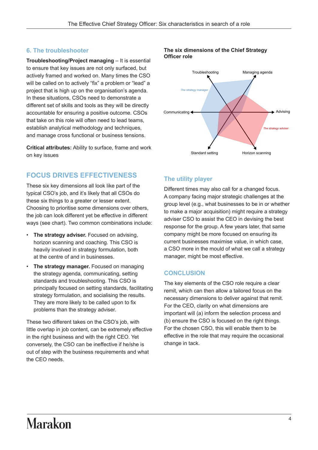#### **6. The troubleshooter**

**Troubleshooting/Project managing** – It is essential to ensure that key issues are not only surfaced, but actively framed and worked on. Many times the CSO will be called on to actively "fix" a problem or "lead" a project that is high up on the organisation's agenda. In these situations, CSOs need to demonstrate a different set of skills and tools as they will be directly accountable for ensuring a positive outcome. CSOs that take on this role will often need to lead teams, establish analytical methodology and techniques, and manage cross functional or business tensions.

**Critical attributes:** Ability to surface, frame and work on key issues

# **FOCUS DRIVES EFFECTIVENESS**

These six key dimensions all look like part of the typical CSO's job, and it's likely that all CSOs do these six things to a greater or lesser extent. Choosing to prioritise some dimensions over others, the job can look different yet be effective in different ways (see chart). Two common combinations include:

- **The strategy adviser.** Focused on advising, horizon scanning and coaching. This CSO is heavily involved in strategy formulation, both at the centre of and in businesses.
- **The strategy manager.** Focused on managing the strategy agenda, communicating, setting standards and troubleshooting. This CSO is principally focused on setting standards, facilitating strategy formulation, and socialising the results. They are more likely to be called upon to fix problems than the strategy adviser.

These two different takes on the CSO's job, with little overlap in job content, can be extremely effective in the right business and with the right CEO. Yet conversely, the CSO can be ineffective if he/she is out of step with the business requirements and what the CEO needs.

#### **The six dimensions of the Chief Strategy Officer role**



#### **The utility player**

Different times may also call for a changed focus. A company facing major strategic challenges at the group level (e.g., what businesses to be in or whether to make a major acquisition) might require a strategy adviser CSO to assist the CEO in devising the best response for the group. A few years later, that same company might be more focused on ensuring its current businesses maximise value, in which case, a CSO more in the mould of what we call a strategy manager, might be most effective.

#### **CONCLUSION**

The key elements of the CSO role require a clear remit, which can then allow a tailored focus on the necessary dimensions to deliver against that remit. For the CEO, clarity on what dimensions are important will (a) inform the selection process and (b) ensure the CSO is focused on the right things. For the chosen CSO, this will enable them to be effective in the role that may require the occasional change in tack.

# **Marakon**